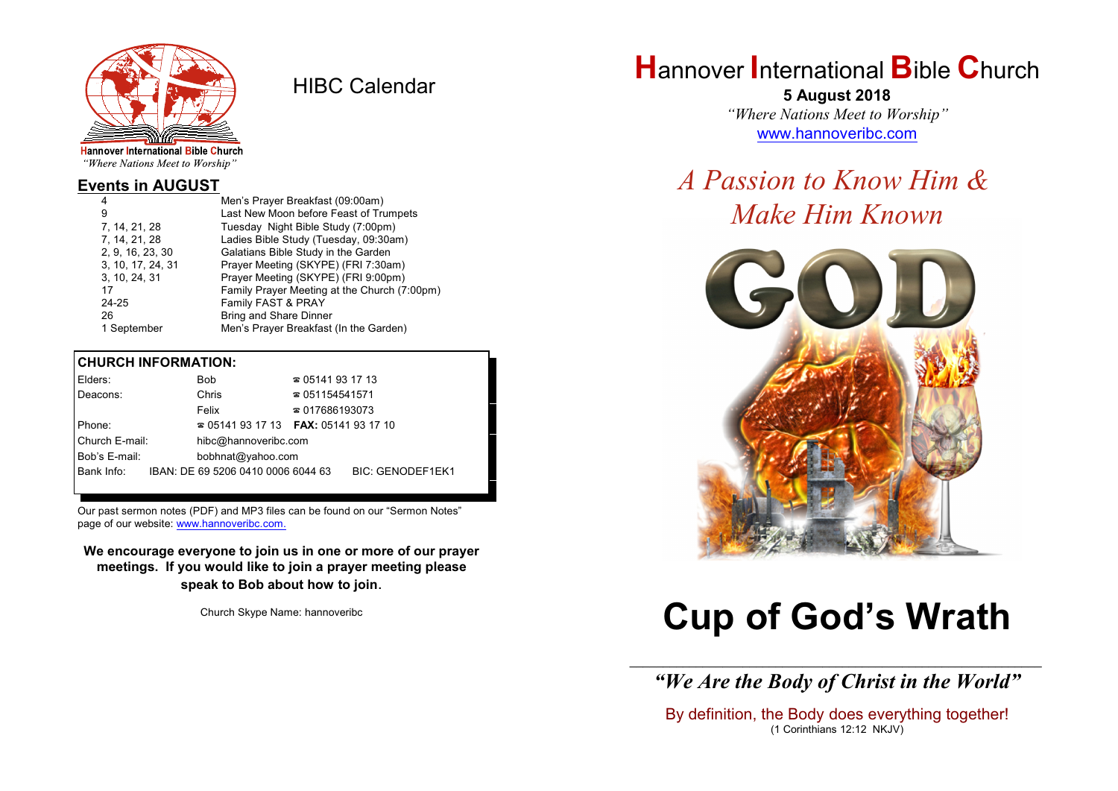

HIBC Calendar

"Where Nations Meet to Worship"

#### **Events in AUGUST**

| 4                 | Men's Prayer Breakfast (09:00am)             |
|-------------------|----------------------------------------------|
| 9                 | Last New Moon before Feast of Trumpets       |
| 7, 14, 21, 28     | Tuesday Night Bible Study (7:00pm)           |
| 7, 14, 21, 28     | Ladies Bible Study (Tuesday, 09:30am)        |
| 2, 9, 16, 23, 30  | Galatians Bible Study in the Garden          |
| 3, 10, 17, 24, 31 | Prayer Meeting (SKYPE) (FRI 7:30am)          |
| 3, 10, 24, 31     | Prayer Meeting (SKYPE) (FRI 9:00pm)          |
| 17                | Family Prayer Meeting at the Church (7:00pm) |
| 24-25             | Family FAST & PRAY                           |
| 26                | <b>Bring and Share Dinner</b>                |
| 1 September       | Men's Prayer Breakfast (In the Garden)       |

#### **CHURCH INFORMATION:**

| Elders:        | Bob                                      | $\approx 05141931713$  |                         |
|----------------|------------------------------------------|------------------------|-------------------------|
| Deacons:       | Chris                                    | $\approx 051154541571$ |                         |
|                | Felix                                    | $\approx 017686193073$ |                         |
| Phone:         | $\approx 05141931713$ FAX: 0514193 17 10 |                        |                         |
| Church E-mail: | hibc@hannoveribc.com                     |                        |                         |
| Bob's E-mail:  | bobhnat@yahoo.com                        |                        |                         |
| Bank Info:     | IBAN: DE 69 5206 0410 0006 6044 63       |                        | <b>BIC: GENODEF1EK1</b> |
|                |                                          |                        |                         |

Our past sermon notes (PDF) and MP3 files can be found on our "Sermon Notes" page of our website: [www.hannoveribc.com.](http://www.hannoveribc.com.)

**We encourage everyone to join us in one or more of our prayer meetings. If you would like to join a prayer meeting please speak to Bob about how to join**.

Church Skype Name: hannoveribc

# **H**annover **I**nternational **B**ible **C**hurch

**5 August 2018** *"Where Nations Meet to Worship"* [www.hannoveribc.com](http://www.hannoveribc.com)

# *A Passion to Know Him & Make Him Known*



# **Cup of God's Wrath**

\_\_\_\_\_\_\_\_\_\_\_\_\_\_\_\_\_\_\_\_\_\_\_\_\_\_\_\_\_\_\_\_\_\_\_\_\_\_\_\_\_\_\_\_\_\_\_\_\_\_\_\_\_\_\_\_\_\_\_\_\_\_ *"We Are the Body of Christ in the World"*

By definition, the Body does everything together! (1 Corinthians 12:12 NKJV)